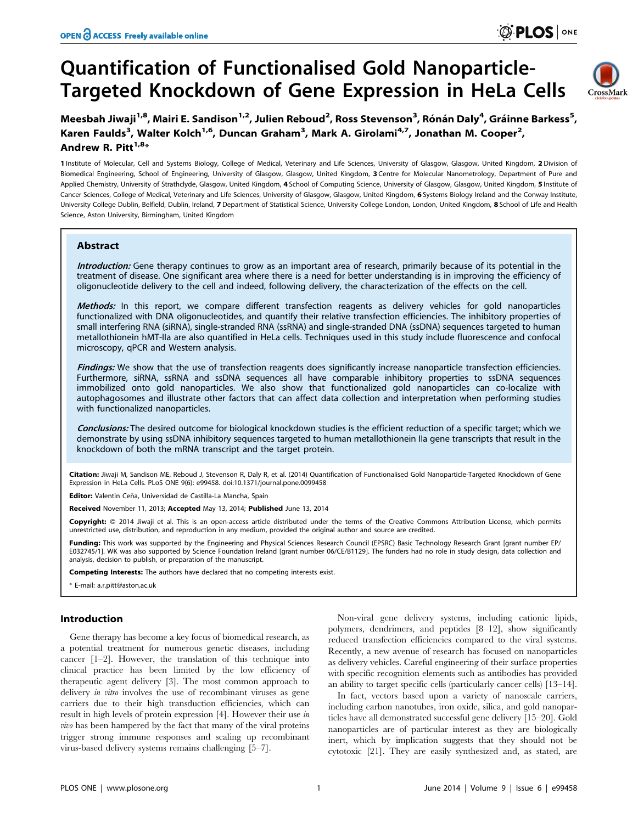# Quantification of Functionalised Gold Nanoparticle-Targeted Knockdown of Gene Expression in HeLa Cells



Meesbah Jiwaji<sup>1,8</sup>, Mairi E. Sandison<sup>1,2</sup>, Julien Reboud<sup>2</sup>, Ross Stevenson<sup>3</sup>, Rónán Daly<sup>4</sup>, Gráinne Barkess<sup>5</sup>, Karen Faulds<sup>3</sup>, Walter Kolch<sup>1,6</sup>, Duncan Graham<sup>3</sup>, Mark A. Girolami<sup>4,7</sup>, Jonathan M. Cooper<sup>2</sup>, Andrew R. Pitt<sup>1,8\*</sup>

1 Institute of Molecular, Cell and Systems Biology, College of Medical, Veterinary and Life Sciences, University of Glasgow, Glasgow, United Kingdom, 2 Division of Biomedical Engineering, School of Engineering, University of Glasgow, Glasgow, United Kingdom, 3 Centre for Molecular Nanometrology, Department of Pure and Applied Chemistry, University of Strathclyde, Glasgow, United Kingdom, 4 School of Computing Science, University of Glasgow, Glasgow, United Kingdom, 5 Institute of Cancer Sciences, College of Medical, Veterinary and Life Sciences, University of Glasgow, Glasgow, United Kingdom, 6 Systems Biology Ireland and the Conway Institute, University College Dublin, Belfield, Dublin, Ireland, 7 Department of Statistical Science, University College London, London, United Kingdom, 8 School of Life and Health Science, Aston University, Birmingham, United Kingdom

#### Abstract

Introduction: Gene therapy continues to grow as an important area of research, primarily because of its potential in the treatment of disease. One significant area where there is a need for better understanding is in improving the efficiency of oligonucleotide delivery to the cell and indeed, following delivery, the characterization of the effects on the cell.

Methods: In this report, we compare different transfection reagents as delivery vehicles for gold nanoparticles functionalized with DNA oligonucleotides, and quantify their relative transfection efficiencies. The inhibitory properties of small interfering RNA (siRNA), single-stranded RNA (ssRNA) and single-stranded DNA (ssDNA) sequences targeted to human metallothionein hMT-IIa are also quantified in HeLa cells. Techniques used in this study include fluorescence and confocal microscopy, qPCR and Western analysis.

Findings: We show that the use of transfection reagents does significantly increase nanoparticle transfection efficiencies. Furthermore, siRNA, ssRNA and ssDNA sequences all have comparable inhibitory properties to ssDNA sequences immobilized onto gold nanoparticles. We also show that functionalized gold nanoparticles can co-localize with autophagosomes and illustrate other factors that can affect data collection and interpretation when performing studies with functionalized nanoparticles.

Conclusions: The desired outcome for biological knockdown studies is the efficient reduction of a specific target; which we demonstrate by using ssDNA inhibitory sequences targeted to human metallothionein IIa gene transcripts that result in the knockdown of both the mRNA transcript and the target protein.

Citation: Jiwaji M, Sandison ME, Reboud J, Stevenson R, Daly R, et al. (2014) Quantification of Functionalised Gold Nanoparticle-Targeted Knockdown of Gene Expression in HeLa Cells. PLoS ONE 9(6): e99458. doi:10.1371/journal.pone.0099458

Editor: Valentin Ceña, Universidad de Castilla-La Mancha, Spain

Received November 11, 2013; Accepted May 13, 2014; Published June 13, 2014

Copyright: © 2014 Jiwaji et al. This is an open-access article distributed under the terms of the [Creative Commons Attribution License,](http://creativecommons.org/licenses/by/4.0/) which permits unrestricted use, distribution, and reproduction in any medium, provided the original author and source are credited.

Funding: This work was supported by the Engineering and Physical Sciences Research Council (EPSRC) Basic Technology Research Grant [grant number EP/ E032745/1]. WK was also supported by Science Foundation Ireland [grant number 06/CE/B1129]. The funders had no role in study design, data collection and analysis, decision to publish, or preparation of the manuscript.

Competing Interests: The authors have declared that no competing interests exist.

\* E-mail: a.r.pitt@aston.ac.uk

#### Introduction

Gene therapy has become a key focus of biomedical research, as a potential treatment for numerous genetic diseases, including cancer [1–2]. However, the translation of this technique into clinical practice has been limited by the low efficiency of therapeutic agent delivery [3]. The most common approach to delivery *in vitro* involves the use of recombinant viruses as gene carriers due to their high transduction efficiencies, which can result in high levels of protein expression [4]. However their use in vivo has been hampered by the fact that many of the viral proteins trigger strong immune responses and scaling up recombinant virus-based delivery systems remains challenging [5–7].

Non-viral gene delivery systems, including cationic lipids, polymers, dendrimers, and peptides [8–12], show significantly reduced transfection efficiencies compared to the viral systems. Recently, a new avenue of research has focused on nanoparticles as delivery vehicles. Careful engineering of their surface properties with specific recognition elements such as antibodies has provided an ability to target specific cells (particularly cancer cells) [13–14].

In fact, vectors based upon a variety of nanoscale carriers, including carbon nanotubes, iron oxide, silica, and gold nanoparticles have all demonstrated successful gene delivery [15–20]. Gold nanoparticles are of particular interest as they are biologically inert, which by implication suggests that they should not be cytotoxic [21]. They are easily synthesized and, as stated, are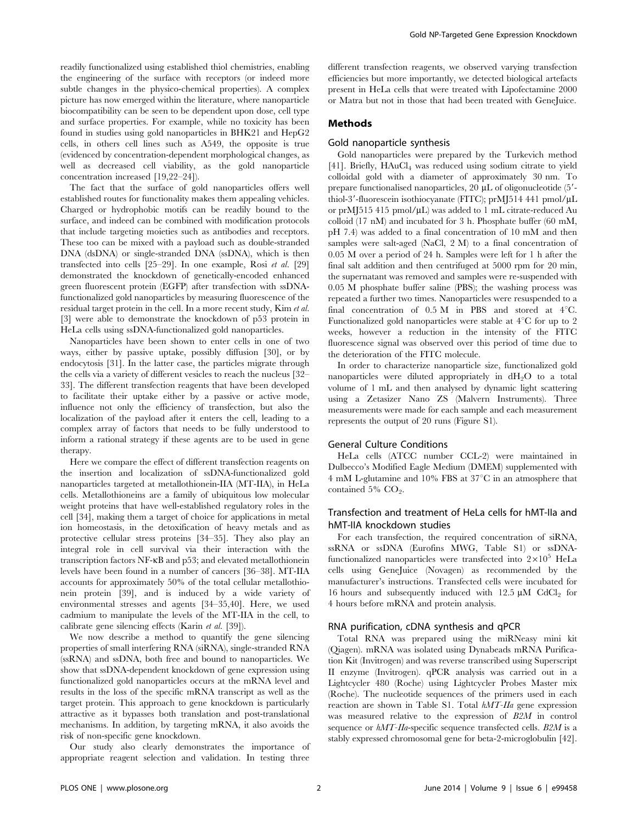readily functionalized using established thiol chemistries, enabling the engineering of the surface with receptors (or indeed more subtle changes in the physico-chemical properties). A complex picture has now emerged within the literature, where nanoparticle biocompatibility can be seen to be dependent upon dose, cell type and surface properties. For example, while no toxicity has been found in studies using gold nanoparticles in BHK21 and HepG2 cells, in others cell lines such as A549, the opposite is true (evidenced by concentration-dependent morphological changes, as well as decreased cell viability, as the gold nanoparticle concentration increased [19,22–24]).

The fact that the surface of gold nanoparticles offers well established routes for functionality makes them appealing vehicles. Charged or hydrophobic motifs can be readily bound to the surface, and indeed can be combined with modification protocols that include targeting moieties such as antibodies and receptors. These too can be mixed with a payload such as double-stranded DNA (dsDNA) or single-stranded DNA (ssDNA), which is then transfected into cells [25–29]. In one example, Rosi et al. [29] demonstrated the knockdown of genetically-encoded enhanced green fluorescent protein (EGFP) after transfection with ssDNAfunctionalized gold nanoparticles by measuring fluorescence of the residual target protein in the cell. In a more recent study, Kim et al. [3] were able to demonstrate the knockdown of p53 protein in HeLa cells using ssDNA-functionalized gold nanoparticles.

Nanoparticles have been shown to enter cells in one of two ways, either by passive uptake, possibly diffusion [30], or by endocytosis [31]. In the latter case, the particles migrate through the cells via a variety of different vesicles to reach the nucleus [32– 33]. The different transfection reagents that have been developed to facilitate their uptake either by a passive or active mode, influence not only the efficiency of transfection, but also the localization of the payload after it enters the cell, leading to a complex array of factors that needs to be fully understood to inform a rational strategy if these agents are to be used in gene therapy.

Here we compare the effect of different transfection reagents on the insertion and localization of ssDNA-functionalized gold nanoparticles targeted at metallothionein-IIA (MT-IIA), in HeLa cells. Metallothioneins are a family of ubiquitous low molecular weight proteins that have well-established regulatory roles in the cell [34], making them a target of choice for applications in metal ion homeostasis, in the detoxification of heavy metals and as protective cellular stress proteins [34–35]. They also play an integral role in cell survival via their interaction with the transcription factors NF-kB and p53; and elevated metallothionein levels have been found in a number of cancers [36–38]. MT-IIA accounts for approximately 50% of the total cellular metallothionein protein [39], and is induced by a wide variety of environmental stresses and agents [34–35,40]. Here, we used cadmium to manipulate the levels of the MT-IIA in the cell, to calibrate gene silencing effects (Karin et al. [39]).

We now describe a method to quantify the gene silencing properties of small interfering RNA (siRNA), single-stranded RNA (ssRNA) and ssDNA, both free and bound to nanoparticles. We show that ssDNA-dependent knockdown of gene expression using functionalized gold nanoparticles occurs at the mRNA level and results in the loss of the specific mRNA transcript as well as the target protein. This approach to gene knockdown is particularly attractive as it bypasses both translation and post-translational mechanisms. In addition, by targeting mRNA, it also avoids the risk of non-specific gene knockdown.

Our study also clearly demonstrates the importance of appropriate reagent selection and validation. In testing three

different transfection reagents, we observed varying transfection efficiencies but more importantly, we detected biological artefacts present in HeLa cells that were treated with Lipofectamine 2000 or Matra but not in those that had been treated with GeneJuice.

## Methods

## Gold nanoparticle synthesis

Gold nanoparticles were prepared by the Turkevich method [41]. Briefly, HAuCl<sub>4</sub> was reduced using sodium citrate to yield colloidal gold with a diameter of approximately 30 nm. To prepare functionalised nanoparticles,  $20 \mu L$  of oligonucleotide (5'thiol-3'-fluorescein isothiocyanate (FITC); prMJ514 441 pmol/µL or prMJ515 415 pmol/ $\mu$ L) was added to 1 mL citrate-reduced Au colloid (17 nM) and incubated for 3 h. Phosphate buffer (60 mM, pH 7.4) was added to a final concentration of 10 mM and then samples were salt-aged (NaCl, 2 M) to a final concentration of 0.05 M over a period of 24 h. Samples were left for 1 h after the final salt addition and then centrifuged at 5000 rpm for 20 min, the supernatant was removed and samples were re-suspended with 0.05 M phosphate buffer saline (PBS); the washing process was repeated a further two times. Nanoparticles were resuspended to a final concentration of  $0.5 M$  in PBS and stored at  $4^{\circ}$ C. Functionalized gold nanoparticles were stable at  $4^{\circ}$ C for up to 2 weeks, however a reduction in the intensity of the FITC fluorescence signal was observed over this period of time due to the deterioration of the FITC molecule.

In order to characterize nanoparticle size, functionalized gold nanoparticles were diluted appropriately in  $dH_2O$  to a total volume of 1 mL and then analysed by dynamic light scattering using a Zetasizer Nano ZS (Malvern Instruments). Three measurements were made for each sample and each measurement represents the output of 20 runs (Figure S1).

#### General Culture Conditions

HeLa cells (ATCC number CCL-2) were maintained in Dulbecco's Modified Eagle Medium (DMEM) supplemented with 4 mM L-glutamine and 10% FBS at  $37^{\circ}$ C in an atmosphere that contained  $5\%$  CO<sub>2</sub>.

# Transfection and treatment of HeLa cells for hMT-IIa and hMT-IIA knockdown studies

For each transfection, the required concentration of siRNA, ssRNA or ssDNA (Eurofins MWG, Table S1) or ssDNAfunctionalized nanoparticles were transfected into  $2\times10^{5}$  HeLa cells using GeneJuice (Novagen) as recommended by the manufacturer's instructions. Transfected cells were incubated for 16 hours and subsequently induced with  $12.5 \mu M$  CdCl<sub>2</sub> for 4 hours before mRNA and protein analysis.

#### RNA purification, cDNA synthesis and qPCR

Total RNA was prepared using the miRNeasy mini kit (Qiagen). mRNA was isolated using Dynabeads mRNA Purification Kit (Invitrogen) and was reverse transcribed using Superscript II enzyme (Invitrogen). qPCR analysis was carried out in a Lightcycler 480 (Roche) using Lightcycler Probes Master mix (Roche). The nucleotide sequences of the primers used in each reaction are shown in Table S1. Total hMT-IIa gene expression was measured relative to the expression of B2M in control sequence or  $hMT$ -*IIa*-specific sequence transfected cells. B2M is a stably expressed chromosomal gene for beta-2-microglobulin [42].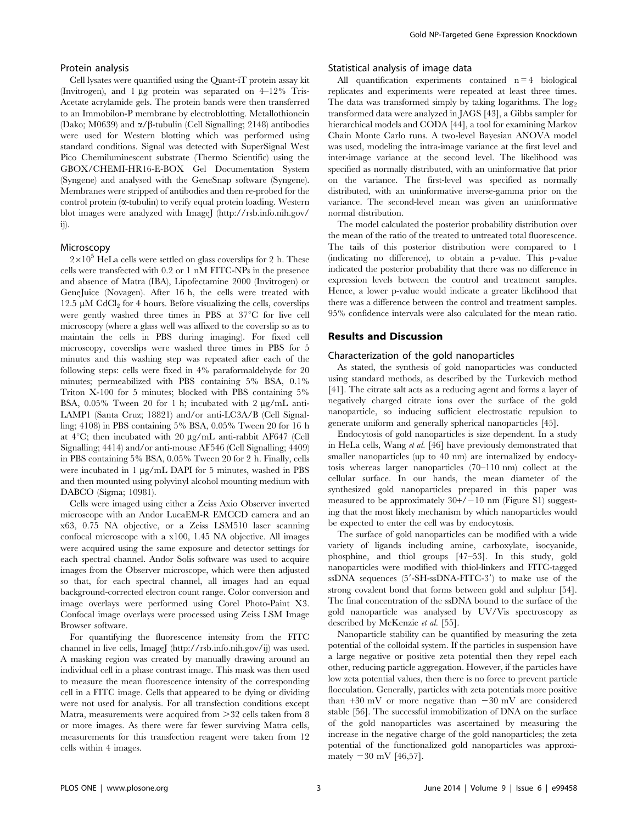#### Protein analysis

Cell lysates were quantified using the Quant-iT protein assay kit (Invitrogen), and  $1 \mu$ g protein was separated on  $4-12\%$  Tris-Acetate acrylamide gels. The protein bands were then transferred to an Immobilon-P membrane by electroblotting. Metallothionein (Dako; M0639) and  $\alpha$ / $\beta$ -tubulin (Cell Signalling; 2148) antibodies were used for Western blotting which was performed using standard conditions. Signal was detected with SuperSignal West Pico Chemiluminescent substrate (Thermo Scientific) using the GBOX/CHEMI-HR16-E-BOX Gel Documentation System (Syngene) and analysed with the GeneSnap software (Syngene). Membranes were stripped of antibodies and then re-probed for the control protein  $(\alpha$ -tubulin) to verify equal protein loading. Western blot images were analyzed with ImageJ (http://rsb.info.nih.gov/ ij).

## Microscopy

 $2\times10^5$  HeLa cells were settled on glass coverslips for 2 h. These cells were transfected with 0.2 or 1 nM FITC-NPs in the presence and absence of Matra (IBA), Lipofectamine 2000 (Invitrogen) or GeneJuice (Novagen). After 16 h, the cells were treated with 12.5  $\mu$ M CdCl<sub>2</sub> for 4 hours. Before visualizing the cells, coverslips were gently washed three times in PBS at  $37^{\circ}$ C for live cell microscopy (where a glass well was affixed to the coverslip so as to maintain the cells in PBS during imaging). For fixed cell microscopy, coverslips were washed three times in PBS for 5 minutes and this washing step was repeated after each of the following steps: cells were fixed in 4% paraformaldehyde for 20 minutes; permeabilized with PBS containing 5% BSA, 0.1% Triton X-100 for 5 minutes; blocked with PBS containing 5% BSA,  $0.05\%$  Tween 20 for 1 h; incubated with 2  $\mu$ g/mL anti-LAMP1 (Santa Cruz; 18821) and/or anti-LC3A/B (Cell Signalling; 4108) in PBS containing 5% BSA, 0.05% Tween 20 for 16 h at  $4^{\circ}$ C; then incubated with 20 µg/mL anti-rabbit AF647 (Cell Signalling; 4414) and/or anti-mouse AF546 (Cell Signalling; 4409) in PBS containing 5% BSA, 0.05% Tween 20 for 2 h. Finally, cells were incubated in 1 µg/mL DAPI for 5 minutes, washed in PBS and then mounted using polyvinyl alcohol mounting medium with DABCO (Sigma; 10981).

Cells were imaged using either a Zeiss Axio Observer inverted microscope with an Andor LucaEM-R EMCCD camera and an x63, 0.75 NA objective, or a Zeiss LSM510 laser scanning confocal microscope with a x100, 1.45 NA objective. All images were acquired using the same exposure and detector settings for each spectral channel. Andor Solis software was used to acquire images from the Observer microscope, which were then adjusted so that, for each spectral channel, all images had an equal background-corrected electron count range. Color conversion and image overlays were performed using Corel Photo-Paint X3. Confocal image overlays were processed using Zeiss LSM Image Browser software.

For quantifying the fluorescence intensity from the FITC channel in live cells, ImageJ (<http://rsb.info.nih.gov/ij>) was used. A masking region was created by manually drawing around an individual cell in a phase contrast image. This mask was then used to measure the mean fluorescence intensity of the corresponding cell in a FITC image. Cells that appeared to be dying or dividing were not used for analysis. For all transfection conditions except Matra, measurements were acquired from  $>32$  cells taken from 8 or more images. As there were far fewer surviving Matra cells, measurements for this transfection reagent were taken from 12 cells within 4 images.

## Statistical analysis of image data

All quantification experiments contained  $n = 4$  biological replicates and experiments were repeated at least three times. The data was transformed simply by taking logarithms. The  $\log_2$ transformed data were analyzed in JAGS [43], a Gibbs sampler for hierarchical models and CODA [44], a tool for examining Markov Chain Monte Carlo runs. A two-level Bayesian ANOVA model was used, modeling the intra-image variance at the first level and inter-image variance at the second level. The likelihood was specified as normally distributed, with an uninformative flat prior on the variance. The first-level was specified as normally distributed, with an uninformative inverse-gamma prior on the variance. The second-level mean was given an uninformative normal distribution.

The model calculated the posterior probability distribution over the mean of the ratio of the treated to untreated total fluorescence. The tails of this posterior distribution were compared to 1 (indicating no difference), to obtain a p-value. This p-value indicated the posterior probability that there was no difference in expression levels between the control and treatment samples. Hence, a lower p-value would indicate a greater likelihood that there was a difference between the control and treatment samples. 95% confidence intervals were also calculated for the mean ratio.

## Results and Discussion

#### Characterization of the gold nanoparticles

As stated, the synthesis of gold nanoparticles was conducted using standard methods, as described by the Turkevich method [41]. The citrate salt acts as a reducing agent and forms a layer of negatively charged citrate ions over the surface of the gold nanoparticle, so inducing sufficient electrostatic repulsion to generate uniform and generally spherical nanoparticles [45].

Endocytosis of gold nanoparticles is size dependent. In a study in HeLa cells, Wang et al. [46] have previously demonstrated that smaller nanoparticles (up to 40 nm) are internalized by endocytosis whereas larger nanoparticles (70–110 nm) collect at the cellular surface. In our hands, the mean diameter of the synthesized gold nanoparticles prepared in this paper was measured to be approximately  $30+/-10$  nm (Figure S1) suggesting that the most likely mechanism by which nanoparticles would be expected to enter the cell was by endocytosis.

The surface of gold nanoparticles can be modified with a wide variety of ligands including amine, carboxylate, isocyanide, phosphine, and thiol groups [47–53]. In this study, gold nanoparticles were modified with thiol-linkers and FITC-tagged  $ssDNA$  sequences  $(5'$ -SH-ssDNA-FITC-3') to make use of the strong covalent bond that forms between gold and sulphur [54]. The final concentration of the ssDNA bound to the surface of the gold nanoparticle was analysed by UV/Vis spectroscopy as described by McKenzie et al. [55].

Nanoparticle stability can be quantified by measuring the zeta potential of the colloidal system. If the particles in suspension have a large negative or positive zeta potential then they repel each other, reducing particle aggregation. However, if the particles have low zeta potential values, then there is no force to prevent particle flocculation. Generally, particles with zeta potentials more positive than  $+30$  mV or more negative than  $-30$  mV are considered stable [56]. The successful immobilization of DNA on the surface of the gold nanoparticles was ascertained by measuring the increase in the negative charge of the gold nanoparticles; the zeta potential of the functionalized gold nanoparticles was approximately  $-30$  mV [46,57].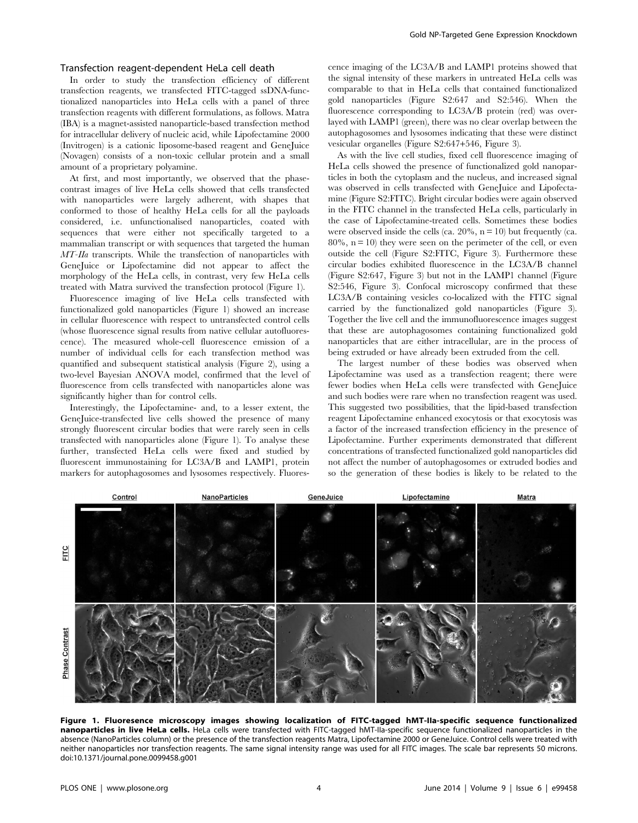#### Transfection reagent-dependent HeLa cell death

In order to study the transfection efficiency of different transfection reagents, we transfected FITC-tagged ssDNA-functionalized nanoparticles into HeLa cells with a panel of three transfection reagents with different formulations, as follows. Matra (IBA) is a magnet-assisted nanoparticle-based transfection method for intracellular delivery of nucleic acid, while Lipofectamine 2000 (Invitrogen) is a cationic liposome-based reagent and GeneJuice (Novagen) consists of a non-toxic cellular protein and a small amount of a proprietary polyamine.

At first, and most importantly, we observed that the phasecontrast images of live HeLa cells showed that cells transfected with nanoparticles were largely adherent, with shapes that conformed to those of healthy HeLa cells for all the payloads considered, i.e. unfunctionalised nanoparticles, coated with sequences that were either not specifically targeted to a mammalian transcript or with sequences that targeted the human MT-IIa transcripts. While the transfection of nanoparticles with GeneJuice or Lipofectamine did not appear to affect the morphology of the HeLa cells, in contrast, very few HeLa cells treated with Matra survived the transfection protocol (Figure 1).

Fluorescence imaging of live HeLa cells transfected with functionalized gold nanoparticles (Figure 1) showed an increase in cellular fluorescence with respect to untransfected control cells (whose fluorescence signal results from native cellular autofluorescence). The measured whole-cell fluorescence emission of a number of individual cells for each transfection method was quantified and subsequent statistical analysis (Figure 2), using a two-level Bayesian ANOVA model, confirmed that the level of fluorescence from cells transfected with nanoparticles alone was significantly higher than for control cells.

Interestingly, the Lipofectamine- and, to a lesser extent, the GeneJuice-transfected live cells showed the presence of many strongly fluorescent circular bodies that were rarely seen in cells transfected with nanoparticles alone (Figure 1). To analyse these further, transfected HeLa cells were fixed and studied by fluorescent immunostaining for LC3A/B and LAMP1, protein markers for autophagosomes and lysosomes respectively. Fluorescence imaging of the LC3A/B and LAMP1 proteins showed that the signal intensity of these markers in untreated HeLa cells was comparable to that in HeLa cells that contained functionalized gold nanoparticles (Figure S2:647 and S2:546). When the fluorescence corresponding to LC3A/B protein (red) was overlayed with LAMP1 (green), there was no clear overlap between the autophagosomes and lysosomes indicating that these were distinct vesicular organelles (Figure S2:647+546, Figure 3).

As with the live cell studies, fixed cell fluorescence imaging of HeLa cells showed the presence of functionalized gold nanoparticles in both the cytoplasm and the nucleus, and increased signal was observed in cells transfected with GeneJuice and Lipofectamine (Figure S2:FITC). Bright circular bodies were again observed in the FITC channel in the transfected HeLa cells, particularly in the case of Lipofectamine-treated cells. Sometimes these bodies were observed inside the cells (ca.  $20\%$ , n = 10) but frequently (ca.  $80\%$ ,  $n = 10$ ) they were seen on the perimeter of the cell, or even outside the cell (Figure S2:FITC, Figure 3). Furthermore these circular bodies exhibited fluorescence in the LC3A/B channel (Figure S2:647, Figure 3) but not in the LAMP1 channel (Figure S2:546, Figure 3). Confocal microscopy confirmed that these LC3A/B containing vesicles co-localized with the FITC signal carried by the functionalized gold nanoparticles (Figure 3). Together the live cell and the immunofluorescence images suggest that these are autophagosomes containing functionalized gold nanoparticles that are either intracellular, are in the process of being extruded or have already been extruded from the cell.

The largest number of these bodies was observed when Lipofectamine was used as a transfection reagent; there were fewer bodies when HeLa cells were transfected with GeneJuice and such bodies were rare when no transfection reagent was used. This suggested two possibilities, that the lipid-based transfection reagent Lipofectamine enhanced exocytosis or that exocytosis was a factor of the increased transfection efficiency in the presence of Lipofectamine. Further experiments demonstrated that different concentrations of transfected functionalized gold nanoparticles did not affect the number of autophagosomes or extruded bodies and so the generation of these bodies is likely to be related to the



Figure 1. Fluoresence microscopy images showing localization of FITC-tagged hMT-IIa-specific sequence functionalized nanoparticles in live HeLa cells. HeLa cells were transfected with FITC-tagged hMT-IIa-specific sequence functionalized nanoparticles in the absence (NanoParticles column) or the presence of the transfection reagents Matra, Lipofectamine 2000 or GeneJuice. Control cells were treated with neither nanoparticles nor transfection reagents. The same signal intensity range was used for all FITC images. The scale bar represents 50 microns. doi:10.1371/journal.pone.0099458.g001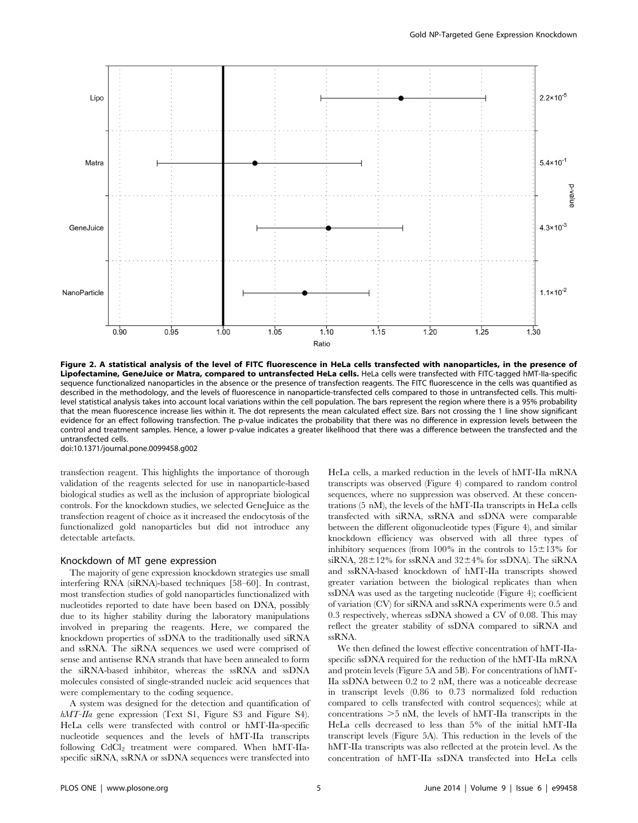

Figure 2. A statistical analysis of the level of FITC fluorescence in HeLa cells transfected with nanoparticles, in the presence of Lipofectamine, GeneJuice or Matra, compared to untransfected HeLa cells. HeLa cells were transfected with FITC-tagged hMT-IIa-specific sequence functionalized nanoparticles in the absence or the presence of transfection reagents. The FITC fluorescence in the cells was quantified as described in the methodology, and the levels of fluorescence in nanoparticle-transfected cells compared to those in untransfected cells. This multilevel statistical analysis takes into account local variations within the cell population. The bars represent the region where there is a 95% probability that the mean fluorescence increase lies within it. The dot represents the mean calculated effect size. Bars not crossing the 1 line show significant evidence for an effect following transfection. The p-value indicates the probability that there was no difference in expression levels between the control and treatment samples. Hence, a lower p-value indicates a greater likelihood that there was a difference between the transfected and the untransfected cells.

doi:10.1371/journal.pone.0099458.g002

transfection reagent. This highlights the importance of thorough validation of the reagents selected for use in nanoparticle-based biological studies as well as the inclusion of appropriate biological controls. For the knockdown studies, we selected GeneJuice as the transfection reagent of choice as it increased the endocytosis of the functionalized gold nanoparticles but did not introduce any detectable artefacts.

#### Knockdown of MT gene expression

The majority of gene expression knockdown strategies use small interfering RNA (siRNA)-based techniques [58–60]. In contrast, most transfection studies of gold nanoparticles functionalized with nucleotides reported to date have been based on DNA, possibly due to its higher stability during the laboratory manipulations involved in preparing the reagents. Here, we compared the knockdown properties of ssDNA to the traditionally used siRNA and ssRNA. The siRNA sequences we used were comprised of sense and antisense RNA strands that have been annealed to form the siRNA-based inhibitor, whereas the ssRNA and ssDNA molecules consisted of single-stranded nucleic acid sequences that were complementary to the coding sequence.

A system was designed for the detection and quantification of hMT-IIa gene expression (Text S1, Figure S3 and Figure S4). HeLa cells were transfected with control or hMT-IIa-specific nucleotide sequences and the levels of hMT-IIa transcripts following CdCl<sub>2</sub> treatment were compared. When hMT-IIaspecific siRNA, ssRNA or ssDNA sequences were transfected into HeLa cells, a marked reduction in the levels of hMT-IIa mRNA transcripts was observed (Figure 4) compared to random control sequences, where no suppression was observed. At these concentrations (5 nM), the levels of the hMT-IIa transcripts in HeLa cells transfected with siRNA, ssRNA and ssDNA were comparable between the different oligonucleotide types (Figure 4), and similar knockdown efficiency was observed with all three types of inhibitory sequences (from 100% in the controls to  $15\pm13$ % for siRNA,  $28\pm12\%$  for ssRNA and  $32\pm4\%$  for ssDNA). The siRNA and ssRNA-based knockdown of hMT-IIa transcripts showed greater variation between the biological replicates than when ssDNA was used as the targeting nucleotide (Figure 4); coefficient of variation (CV) for siRNA and ssRNA experiments were 0.5 and 0.3 respectively, whereas ssDNA showed a CV of 0.08. This may reflect the greater stability of ssDNA compared to siRNA and ssRNA.

We then defined the lowest effective concentration of hMT-IIaspecific ssDNA required for the reduction of the hMT-IIa mRNA and protein levels (Figure 5A and 5B). For concentrations of hMT-IIa ssDNA between 0.2 to 2 nM, there was a noticeable decrease in transcript levels (0.86 to 0.73 normalized fold reduction compared to cells transfected with control sequences); while at  $concentrations \geq 5$  nM, the levels of hMT-IIa transcripts in the HeLa cells decreased to less than 5% of the initial hMT-IIa transcript levels (Figure 5A). This reduction in the levels of the hMT-IIa transcripts was also reflected at the protein level. As the concentration of hMT-IIa ssDNA transfected into HeLa cells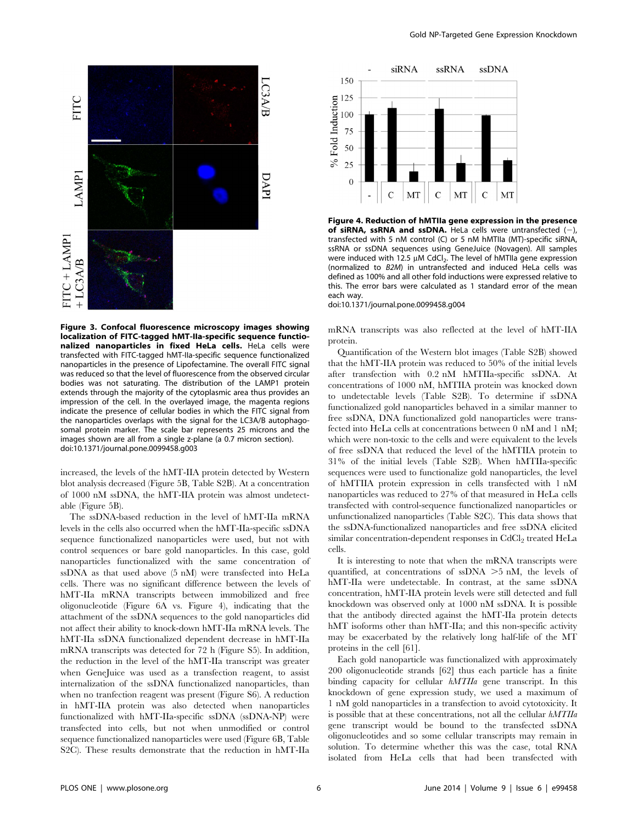

Figure 3. Confocal fluorescence microscopy images showing localization of FITC-tagged hMT-IIa-specific sequence functionalized nanoparticles in fixed HeLa cells. HeLa cells were transfected with FITC-tagged hMT-IIa-specific sequence functionalized nanoparticles in the presence of Lipofectamine. The overall FITC signal was reduced so that the level of fluorescence from the observed circular bodies was not saturating. The distribution of the LAMP1 protein extends through the majority of the cytoplasmic area thus provides an impression of the cell. In the overlayed image, the magenta regions indicate the presence of cellular bodies in which the FITC signal from the nanoparticles overlaps with the signal for the LC3A/B autophagosomal protein marker. The scale bar represents 25 microns and the images shown are all from a single z-plane (a 0.7 micron section). doi:10.1371/journal.pone.0099458.g003

increased, the levels of the hMT-IIA protein detected by Western blot analysis decreased (Figure 5B, Table S2B). At a concentration of 1000 nM ssDNA, the hMT-IIA protein was almost undetectable (Figure 5B).

The ssDNA-based reduction in the level of hMT-IIa mRNA levels in the cells also occurred when the hMT-IIa-specific ssDNA sequence functionalized nanoparticles were used, but not with control sequences or bare gold nanoparticles. In this case, gold nanoparticles functionalized with the same concentration of ssDNA as that used above (5 nM) were transfected into HeLa cells. There was no significant difference between the levels of hMT-IIa mRNA transcripts between immobilized and free oligonucleotide (Figure 6A vs. Figure 4), indicating that the attachment of the ssDNA sequences to the gold nanoparticles did not affect their ability to knock-down hMT-IIa mRNA levels. The hMT-IIa ssDNA functionalized dependent decrease in hMT-IIa mRNA transcripts was detected for 72 h (Figure S5). In addition, the reduction in the level of the hMT-IIa transcript was greater when GeneJuice was used as a transfection reagent, to assist internalization of the ssDNA functionalized nanoparticles, than when no tranfection reagent was present (Figure S6). A reduction in hMT-IIA protein was also detected when nanoparticles functionalized with hMT-IIa-specific ssDNA (ssDNA-NP) were transfected into cells, but not when unmodified or control sequence functionalized nanoparticles were used (Figure 6B, Table S2C). These results demonstrate that the reduction in hMT-IIa



Figure 4. Reduction of hMTIIa gene expression in the presence of siRNA, ssRNA and ssDNA. HeLa cells were untransfected  $(-)$ , transfected with 5 nM control (C) or 5 nM hMTIIa (MT)-specific siRNA, ssRNA or ssDNA sequences using GeneJuice (Novagen). All samples were induced with 12.5 uM CdCl<sub>2</sub>. The level of hMTIIa gene expression (normalized to B2M) in untransfected and induced HeLa cells was defined as 100% and all other fold inductions were expressed relative to this. The error bars were calculated as 1 standard error of the mean each way.

doi:10.1371/journal.pone.0099458.g004

mRNA transcripts was also reflected at the level of hMT-IIA protein.

Quantification of the Western blot images (Table S2B) showed that the hMT-IIA protein was reduced to 50% of the initial levels after transfection with 0.2 nM hMTIIa-specific ssDNA. At concentrations of 1000 nM, hMTIIA protein was knocked down to undetectable levels (Table S2B). To determine if ssDNA functionalized gold nanoparticles behaved in a similar manner to free ssDNA, DNA functionalized gold nanoparticles were transfected into HeLa cells at concentrations between 0 nM and 1 nM; which were non-toxic to the cells and were equivalent to the levels of free ssDNA that reduced the level of the hMTIIA protein to 31% of the initial levels (Table S2B). When hMTIIa-specific sequences were used to functionalize gold nanoparticles, the level of hMTIIA protein expression in cells transfected with 1 nM nanoparticles was reduced to 27% of that measured in HeLa cells transfected with control-sequence functionalized nanoparticles or unfunctionalized nanoparticles (Table S2C). This data shows that the ssDNA-functionalized nanoparticles and free ssDNA elicited similar concentration-dependent responses in CdCl<sub>2</sub> treated HeLa cells.

It is interesting to note that when the mRNA transcripts were quantified, at concentrations of  $sSDNA > 5$  nM, the levels of hMT-IIa were undetectable. In contrast, at the same ssDNA concentration, hMT-IIA protein levels were still detected and full knockdown was observed only at 1000 nM ssDNA. It is possible that the antibody directed against the hMT-IIa protein detects hMT isoforms other than hMT-IIa; and this non-specific activity may be exacerbated by the relatively long half-life of the MT proteins in the cell [61].

Each gold nanoparticle was functionalized with approximately 200 oligonucleotide strands [62] thus each particle has a finite binding capacity for cellular  $hMTIIa$  gene transcript. In this knockdown of gene expression study, we used a maximum of 1 nM gold nanoparticles in a transfection to avoid cytotoxicity. It is possible that at these concentrations, not all the cellular hMTIIa gene transcript would be bound to the transfected ssDNA oligonucleotides and so some cellular transcripts may remain in solution. To determine whether this was the case, total RNA isolated from HeLa cells that had been transfected with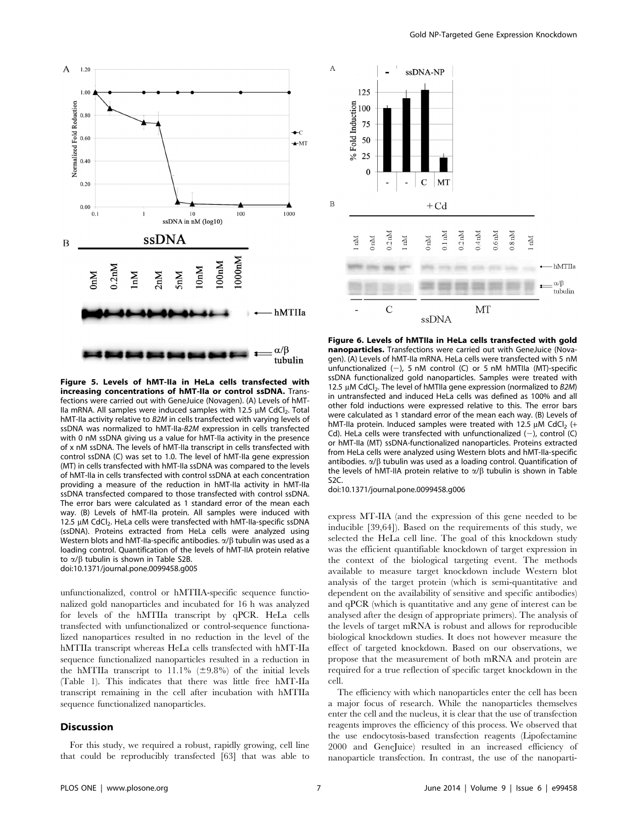

Figure 5. Levels of hMT-IIa in HeLa cells transfected with increasing concentrations of hMT-IIa or control ssDNA. Transfections were carried out with GeneJuice (Novagen). (A) Levels of hMT-IIa mRNA. All samples were induced samples with 12.5  $\mu$ M CdCl<sub>2</sub>. Total hMT-IIa activity relative to B2M in cells transfected with varying levels of ssDNA was normalized to hMT-IIa-B2M expression in cells transfected with 0 nM ssDNA giving us a value for hMT-IIa activity in the presence of x nM ssDNA. The levels of hMT-IIa transcript in cells transfected with control ssDNA (C) was set to 1.0. The level of hMT-IIa gene expression (MT) in cells transfected with hMT-IIa ssDNA was compared to the levels of hMT-IIa in cells transfected with control ssDNA at each concentration providing a measure of the reduction in hMT-IIa activity in hMT-IIa ssDNA transfected compared to those transfected with control ssDNA. The error bars were calculated as 1 standard error of the mean each way. (B) Levels of hMT-IIa protein. All samples were induced with 12.5  $\mu$ M CdCl<sub>2</sub>. HeLa cells were transfected with hMT-IIa-specific ssDNA (ssDNA). Proteins extracted from HeLa cells were analyzed using Western blots and hMT-IIa-specific antibodies.  $\alpha/\beta$  tubulin was used as a loading control. Quantification of the levels of hMT-IIA protein relative to  $\alpha/\beta$  tubulin is shown in Table S2B. doi:10.1371/journal.pone.0099458.g005

unfunctionalized, control or hMTIIA-specific sequence functionalized gold nanoparticles and incubated for 16 h was analyzed for levels of the hMTIIa transcript by qPCR. HeLa cells transfected with unfunctionalized or control-sequence functionalized nanopartices resulted in no reduction in the level of the hMTIIa transcript whereas HeLa cells transfected with hMT-IIa sequence functionalized nanoparticles resulted in a reduction in the hMTIIa transcript to 11.1% ( $\pm$ 9.8%) of the initial levels (Table 1). This indicates that there was little free hMT-IIa transcript remaining in the cell after incubation with hMTIIa sequence functionalized nanoparticles.

## **Discussion**

For this study, we required a robust, rapidly growing, cell line that could be reproducibly transfected [63] that was able to



Figure 6. Levels of hMTIIa in HeLa cells transfected with gold nanoparticles. Transfections were carried out with GeneJuice (Novagen). (A) Levels of hMT-IIa mRNA. HeLa cells were transfected with 5 nM unfunctionalized  $(-)$ , 5 nM control (C) or 5 nM hMTIIa (MT)-specific ssDNA functionalized gold nanoparticles. Samples were treated with 12.5  $\mu$ M CdCl<sub>2</sub>. The level of hMTIIa gene expression (normalized to B2M) in untransfected and induced HeLa cells was defined as 100% and all other fold inductions were expressed relative to this. The error bars were calculated as 1 standard error of the mean each way. (B) Levels of hMT-IIa protein. Induced samples were treated with 12.5  $\mu$ M CdCl<sub>2</sub> (+ Cd). HeLa cells were transfected with unfunctionalized  $(-)$ , control  $(C)$ or hMT-IIa (MT) ssDNA-functionalized nanoparticles. Proteins extracted from HeLa cells were analyzed using Western blots and hMT-IIa-specific antibodies.  $\alpha/\beta$  tubulin was used as a loading control. Quantification of the levels of hMT-IIA protein relative to  $\alpha/\beta$  tubulin is shown in Table  $S2C$ 

doi:10.1371/journal.pone.0099458.g006

express MT-IIA (and the expression of this gene needed to be inducible [39,64]). Based on the requirements of this study, we selected the HeLa cell line. The goal of this knockdown study was the efficient quantifiable knockdown of target expression in the context of the biological targeting event. The methods available to measure target knockdown include Western blot analysis of the target protein (which is semi-quantitative and dependent on the availability of sensitive and specific antibodies) and qPCR (which is quantitative and any gene of interest can be analysed after the design of appropriate primers). The analysis of the levels of target mRNA is robust and allows for reproducible biological knockdown studies. It does not however measure the effect of targeted knockdown. Based on our observations, we propose that the measurement of both mRNA and protein are required for a true reflection of specific target knockdown in the cell.

The efficiency with which nanoparticles enter the cell has been a major focus of research. While the nanoparticles themselves enter the cell and the nucleus, it is clear that the use of transfection reagents improves the efficiency of this process. We observed that the use endocytosis-based transfection reagents (Lipofectamine 2000 and GeneJuice) resulted in an increased efficiency of nanoparticle transfection. In contrast, the use of the nanoparti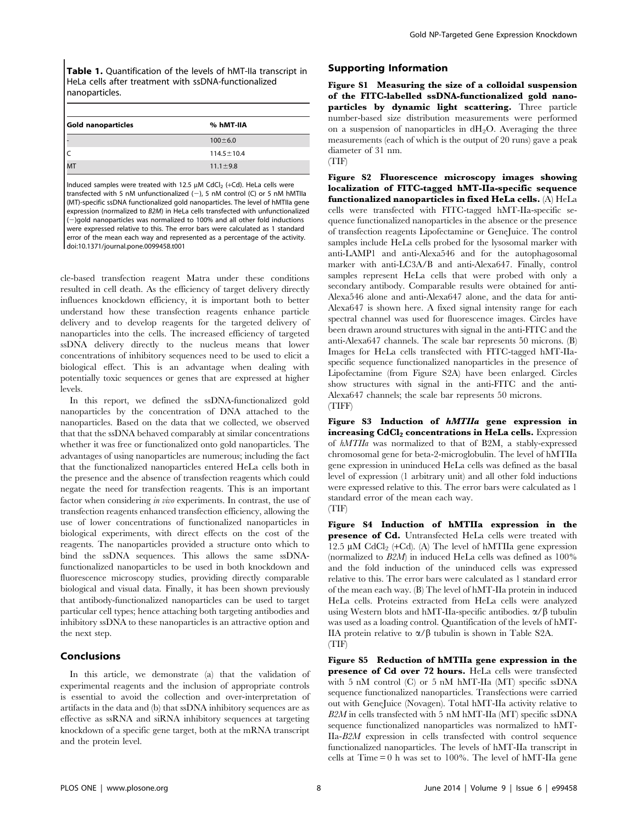Table 1. Quantification of the levels of hMT-IIa transcript in HeLa cells after treatment with ssDNA-functionalized nanoparticles.

| Gold nanoparticles | % hMT-IIA        |
|--------------------|------------------|
|                    | $100 \pm 6.0$    |
|                    | $114.5 \pm 10.4$ |
| MT                 | $11.1 \pm 9.8$   |

Induced samples were treated with 12.5 uM CdCl<sub>2</sub> (+Cd). HeLa cells were transfected with 5 nM unfunctionalized (2), 5 nM control (C) or 5 nM hMTIIa (MT)-specific ssDNA functionalized gold nanoparticles. The level of hMTIIa gene expression (normalized to B2M) in HeLa cells transfected with unfunctionalized  $(-)$ gold nanoparticles was normalized to 100% and all other fold inductions were expressed relative to this. The error bars were calculated as 1 standard error of the mean each way and represented as a percentage of the activity. doi:10.1371/journal.pone.0099458.t001

cle-based transfection reagent Matra under these conditions resulted in cell death. As the efficiency of target delivery directly influences knockdown efficiency, it is important both to better understand how these transfection reagents enhance particle delivery and to develop reagents for the targeted delivery of nanoparticles into the cells. The increased efficiency of targeted ssDNA delivery directly to the nucleus means that lower concentrations of inhibitory sequences need to be used to elicit a biological effect. This is an advantage when dealing with potentially toxic sequences or genes that are expressed at higher levels.

In this report, we defined the ssDNA-functionalized gold nanoparticles by the concentration of DNA attached to the nanoparticles. Based on the data that we collected, we observed that that the ssDNA behaved comparably at similar concentrations whether it was free or functionalized onto gold nanoparticles. The advantages of using nanoparticles are numerous; including the fact that the functionalized nanoparticles entered HeLa cells both in the presence and the absence of transfection reagents which could negate the need for transfection reagents. This is an important factor when considering in vivo experiments. In contrast, the use of transfection reagents enhanced transfection efficiency, allowing the use of lower concentrations of functionalized nanoparticles in biological experiments, with direct effects on the cost of the reagents. The nanoparticles provided a structure onto which to bind the ssDNA sequences. This allows the same ssDNAfunctionalized nanoparticles to be used in both knockdown and fluorescence microscopy studies, providing directly comparable biological and visual data. Finally, it has been shown previously that antibody-functionalized nanoparticles can be used to target particular cell types; hence attaching both targeting antibodies and inhibitory ssDNA to these nanoparticles is an attractive option and the next step.

# Conclusions

In this article, we demonstrate (a) that the validation of experimental reagents and the inclusion of appropriate controls is essential to avoid the collection and over-interpretation of artifacts in the data and (b) that ssDNA inhibitory sequences are as effective as ssRNA and siRNA inhibitory sequences at targeting knockdown of a specific gene target, both at the mRNA transcript and the protein level.

#### Supporting Information

Figure S1 Measuring the size of a colloidal suspension of the FITC-labelled ssDNA-functionalized gold nanoparticles by dynamic light scattering. Three particle number-based size distribution measurements were performed on a suspension of nanoparticles in  $dH_2O$ . Averaging the three measurements (each of which is the output of 20 runs) gave a peak diameter of 31 nm. (TIF)

Figure S2 Fluorescence microscopy images showing localization of FITC-tagged hMT-IIa-specific sequence functionalized nanoparticles in fixed HeLa cells. (A) HeLa cells were transfected with FITC-tagged hMT-IIa-specific sequence functionalized nanoparticles in the absence or the presence of transfection reagents Lipofectamine or GeneJuice. The control samples include HeLa cells probed for the lysosomal marker with anti-LAMP1 and anti-Alexa546 and for the autophagosomal marker with anti-LC3A/B and anti-Alexa647. Finally, control samples represent HeLa cells that were probed with only a secondary antibody. Comparable results were obtained for anti-Alexa546 alone and anti-Alexa647 alone, and the data for anti-Alexa647 is shown here. A fixed signal intensity range for each spectral channel was used for fluorescence images. Circles have been drawn around structures with signal in the anti-FITC and the anti-Alexa647 channels. The scale bar represents 50 microns. (B) Images for HeLa cells transfected with FITC-tagged hMT-IIaspecific sequence functionalized nanoparticles in the presence of Lipofectamine (from Figure S2A) have been enlarged. Circles show structures with signal in the anti-FITC and the anti-Alexa647 channels; the scale bar represents 50 microns. (TIFF)

Figure S3 Induction of hMTIIa gene expression in increasing CdCl<sub>2</sub> concentrations in HeLa cells. Expression of hMTIIa was normalized to that of B2M, a stably-expressed chromosomal gene for beta-2-microglobulin. The level of hMTIIa gene expression in uninduced HeLa cells was defined as the basal level of expression (1 arbitrary unit) and all other fold inductions were expressed relative to this. The error bars were calculated as 1 standard error of the mean each way. (TIF)

Figure S4 Induction of hMTIIa expression in the presence of Cd. Untransfected HeLa cells were treated with 12.5  $\mu$ M CdCl<sub>2</sub> (+Cd). (A) The level of hMTIIa gene expression (normalized to B2M) in induced HeLa cells was defined as 100% and the fold induction of the uninduced cells was expressed relative to this. The error bars were calculated as 1 standard error of the mean each way. (B) The level of hMT-IIa protein in induced HeLa cells. Proteins extracted from HeLa cells were analyzed using Western blots and hMT-IIa-specific antibodies.  $\alpha/\beta$  tubulin was used as a loading control. Quantification of the levels of hMT-IIA protein relative to  $\alpha/\beta$  tubulin is shown in Table S2A. (TIF)

Figure S5 Reduction of hMTIIa gene expression in the presence of Cd over 72 hours. HeLa cells were transfected with 5 nM control (C) or 5 nM hMT-IIa (MT) specific ssDNA sequence functionalized nanoparticles. Transfections were carried out with GeneJuice (Novagen). Total hMT-IIa activity relative to B2M in cells transfected with 5 nM hMT-IIa (MT) specific ssDNA sequence functionalized nanoparticles was normalized to hMT-IIa-B2M expression in cells transfected with control sequence functionalized nanoparticles. The levels of hMT-IIa transcript in cells at Time = 0 h was set to 100%. The level of hMT-IIa gene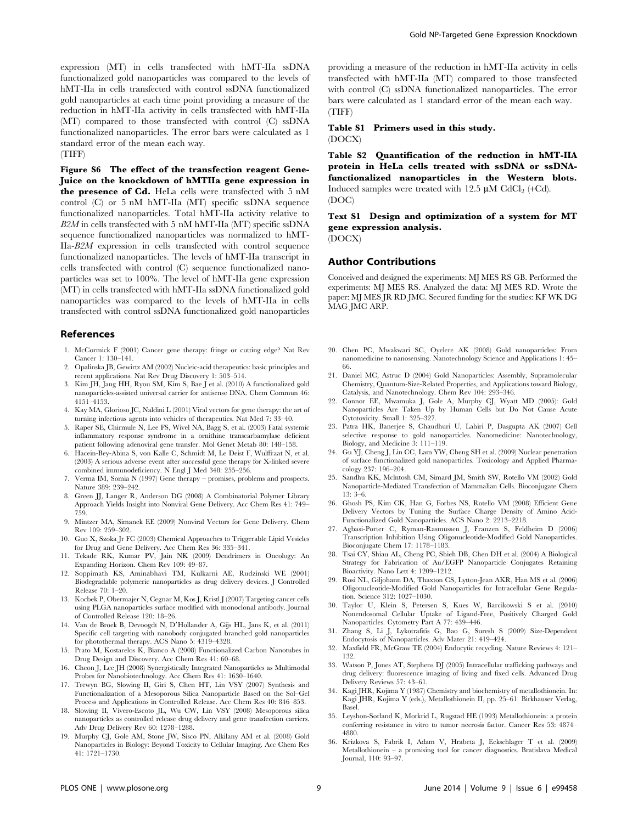expression (MT) in cells transfected with hMT-IIa ssDNA functionalized gold nanoparticles was compared to the levels of hMT-IIa in cells transfected with control ssDNA functionalized gold nanoparticles at each time point providing a measure of the reduction in hMT-IIa activity in cells transfected with hMT-IIa (MT) compared to those transfected with control (C) ssDNA functionalized nanoparticles. The error bars were calculated as 1 standard error of the mean each way. (TIFF)

Figure S6 The effect of the transfection reagent Gene-Juice on the knockdown of hMTIIa gene expression in the presence of Cd. HeLa cells were transfected with 5 nM control (C) or 5 nM hMT-IIa (MT) specific ssDNA sequence functionalized nanoparticles. Total hMT-IIa activity relative to  $B2M$  in cells transfected with 5 nM hMT-IIa (MT) specific ssDNA sequence functionalized nanoparticles was normalized to hMT-IIa-B2M expression in cells transfected with control sequence functionalized nanoparticles. The levels of hMT-IIa transcript in cells transfected with control (C) sequence functionalized nanoparticles was set to 100%. The level of hMT-IIa gene expression (MT) in cells transfected with hMT-IIa ssDNA functionalized gold nanoparticles was compared to the levels of hMT-IIa in cells transfected with control ssDNA functionalized gold nanoparticles

## References

- 1. McCormick F (2001) Cancer gene therapy: fringe or cutting edge? Nat Rev Cancer 1: 130–141.
- 2. Opalinska JB, Gewirtz AM (2002) Nucleic-acid therapeutics: basic principles and recent applications. Nat Rev Drug Discovery 1: 503–514.
- 3. Kim JH, Jang HH, Ryou SM, Kim S, Bae J et al. (2010) A functionalized gold nanoparticles-assisted universal carrier for antisense DNA. Chem Commun 46: 4151–4153.
- 4. Kay MA, Glorioso JC, Naldini L (2001) Viral vectors for gene therapy: the art of turning infectious agents into vehicles of therapeutics. Nat Med 7: 33–40.
- 5. Raper SE, Chirmule N, Lee FS, Wivel NA, Bagg S, et al. (2003) Fatal systemic inflammatory response syndrome in a ornithine transcarbamylase deficient patient following adenoviral gene transfer. Mol Genet Metab 80: 148–158.
- 6. Hacein-Bey-Abina S, von Kalle C, Schmidt M, Le Deist F, Wulffraat N, et al. (2003) A serious adverse event after successful gene therapy for X-linked severe combined immunodeficiency. N Engl J Med 348: 255–256.
- 7. Verma IM, Somia N (1997) Gene therapy promises, problems and prospects. Nature 389: 239–242.
- 8. Green JJ, Langer R, Anderson DG (2008) A Combinatorial Polymer Library Approach Yields Insight into Nonviral Gene Delivery. Acc Chem Res 41: 749– 759.
- 9. Mintzer MA, Simanek EE (2009) Nonviral Vectors for Gene Delivery. Chem Rev 109: 259–302.
- 10. Guo X, Szoka Jr FC (2003) Chemical Approaches to Triggerable Lipid Vesicles for Drug and Gene Delivery. Acc Chem Res 36: 335–341.
- 11. Tekade RK, Kumar PV, Jain NK (2009) Dendrimers in Oncology: An Expanding Horizon. Chem Rev 109: 49–87.
- 12. Soppimath KS, Aminabhavi TM, Kulkarni AE, Rudzinski WE (2001) Biodegradable polymeric nanoparticles as drug delivery devices. J Controlled Release 70: 1–20.
- 13. Kocbek P, Obermajer N, Cegnar M, Kos J, Kristl J (2007) Targeting cancer cells using PLGA nanoparticles surface modified with monoclonal antibody. Journal of Controlled Release 120: 18–26.
- 14. Van de Broek B, Devoogdt N, D'Hollander A, Gijs HL, Jans K, et al. (2011) Specific cell targeting with nanobody conjugated branched gold nanoparticles for photothermal therapy. ACS Nano 5: 4319–4328.
- 15. Prato M, Kostarelos K, Bianco A (2008) Functionalized Carbon Nanotubes in Drug Design and Discovery. Acc Chem Res 41: 60–68.
- 16. Cheon J, Lee JH (2008) Synergistically Integrated Nanoparticles as Multimodal Probes for Nanobiotechnology. Acc Chem Res 41: 1630–1640.
- 17. Trewyn BG, Slowing II, Giri S, Chen HT, Lin VSY (2007) Synthesis and Functionalization of a Mesoporous Silica Nanoparticle Based on the Sol–Gel Process and Applications in Controlled Release. Acc Chem Res 40: 846–853.
- 18. Slowing II, Vivero-Escoto JL, Wu CW, Lin VSY (2008) Mesoporous silica nanoparticles as controlled release drug delivery and gene transfection carriers. Adv Drug Delivery Rev 60: 1278–1288.
- 19. Murphy CJ, Gole AM, Stone JW, Sisco PN, Alkilany AM et al. (2008) Gold Nanoparticles in Biology: Beyond Toxicity to Cellular Imaging. Acc Chem Res 41: 1721–1730.

providing a measure of the reduction in hMT-IIa activity in cells transfected with hMT-IIa (MT) compared to those transfected with control (C) ssDNA functionalized nanoparticles. The error bars were calculated as 1 standard error of the mean each way. (TIFF)

Table S1 Primers used in this study. (DOCX)

Table S2 Quantification of the reduction in hMT-IIA protein in HeLa cells treated with ssDNA or ssDNAfunctionalized nanoparticles in the Western blots. Induced samples were treated with 12.5  $\mu$ M CdCl<sub>2</sub> (+Cd). (DOC)

Text S1 Design and optimization of a system for MT gene expression analysis. (DOCX)

#### Author Contributions

Conceived and designed the experiments: MJ MES RS GB. Performed the experiments: MJ MES RS. Analyzed the data: MJ MES RD. Wrote the paper: MJ MES JR RD JMC. Secured funding for the studies: KF WK DG MAG JMC ARP.

- 20. Chen PC, Mwakwari SC, Oyelere AK (2008) Gold nanoparticles: From nanomedicine to nanosensing. Nanotechnology Science and Applications 1: 45– 66.
- 21. Daniel MC, Astruc D (2004) Gold Nanoparticles: Assembly, Supramolecular Chemistry, Quantum-Size-Related Properties, and Applications toward Biology, Catalysis, and Nanotechnology. Chem Rev 104: 293–346.
- 22. Connor EE, Mwamuka J, Gole A, Murphy CJ, Wyatt MD (2005): Gold Nanoparticles Are Taken Up by Human Cells but Do Not Cause Acute Cytotoxicity. Small 1: 325–327.
- 23. Patra HK, Banerjee S, Chaudhuri U, Lahiri P, Dasgupta AK (2007) Cell selective response to gold nanoparticles. Nanomedicine: Nanotechnology, Biology, and Medicine 3: 111–119.
- 24. Gu YJ, Cheng J, Lin CC, Lam YW, Cheng SH et al. (2009) Nuclear penetration of surface functionalized gold nanoparticles. Toxicology and Applied Pharmacology 237: 196–204.
- 25. Sandhu KK, Mclntosh CM, Simard JM, Smith SW, Rotello VM (2002) Gold Nanoparticle-Mediated Transfection of Mammalian Cells. Bioconjugate Chem 13: 3–6.
- 26. Ghosh PS, Kim CK, Han G, Forbes NS, Rotello VM (2008) Efficient Gene Delivery Vectors by Tuning the Surface Charge Density of Amino Acid-Functionalized Gold Nanoparticles. ACS Nano 2: 2213–2218.
- 27. Agbasi-Porter C, Ryman-Rasmussen J, Franzen S, Feldheim D (2006) Transcription Inhibition Using Oligonucleotide-Modified Gold Nanoparticles. Bioconjugate Chem 17: 1178–1183.
- 28. Tsai CY, Shiau AL, Cheng PC, Shieh DB, Chen DH et al. (2004) A Biological Strategy for Fabrication of Au/EGFP Nanoparticle Conjugates Retaining Bioactivity. Nano Lett 4: 1209–1212.
- 29. Rosi NL, Giljohann DA, Thaxton CS, Lytton-Jean AKR, Han MS et al. (2006) Oligonucleotide-Modified Gold Nanoparticles for Intracellular Gene Regulation. Science 312: 1027–1030.
- 30. Taylor U, Klein S, Petersen S, Kues W, Barcikowski S et al. (2010) Nonendosomal Cellular Uptake of Ligand-Free, Positively Charged Gold Nanoparticles. Cytometry Part A 77: 439–446.
- 31. Zhang S, Li J, Lykotrafitis G, Bao G, Suresh S (2009) Size-Dependent Endocytosis of Nanoparticles. Adv Mater 21: 419–424.
- 32. Maxfield FR, McGraw TE (2004) Endocytic recycling. Nature Reviews 4: 121– 132.
- 33. Watson P, Jones AT, Stephens DJ (2005) Intracellular trafficking pathways and drug delivery: fluorescence imaging of living and fixed cells. Advanced Drug Delivery Reviews 57: 43–61.
- 34. Kagi JHR, Kojima Y (1987) Chemistry and biochemistry of metallothionein. In: Kagi JHR, Kojima Y (eds.), Metallothionein II, pp. 25–61. Birkhauser Verlag, Basel.
- 35. Leyshon-Sorland K, Morkrid L, Rugstad HE (1993) Metallothionein: a protein conferring resistance in vitro to tumor necrosis factor. Cancer Res 53: 4874– 4880.
- 36. Krizkova S, Fabrik I, Adam V, Hrabeta J, Eckschlager T et al. (2009) Metallothionein – a promising tool for cancer diagnostics. Bratislava Medical Journal, 110: 93–97.